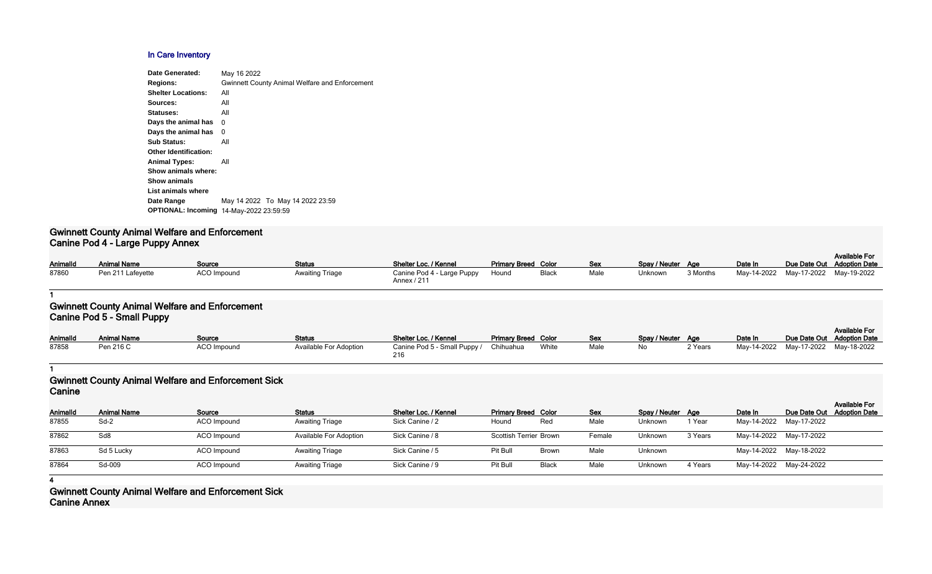## **In Care Inventory**

| Date Generated:                                | May 16 2022                                           |
|------------------------------------------------|-------------------------------------------------------|
| <b>Regions:</b>                                | <b>Gwinnett County Animal Welfare and Enforcement</b> |
| <b>Shelter Locations:</b>                      | All                                                   |
| Sources:                                       | All                                                   |
| Statuses:                                      | All                                                   |
| Days the animal has                            | 0                                                     |
| Days the animal has                            | 0                                                     |
| <b>Sub Status:</b>                             | All                                                   |
| <b>Other Identification:</b>                   |                                                       |
| <b>Animal Types:</b>                           | All                                                   |
| Show animals where:                            |                                                       |
| <b>Show animals</b>                            |                                                       |
| List animals where                             |                                                       |
| Date Range                                     | May 14 2022 To May 14 2022 23:59                      |
| <b>OPTIONAL: Incoming 14-May-2022 23:59:59</b> |                                                       |
|                                                |                                                       |

## **Gwinnett County Animal Welfare and Enforcement Canine Pod 4 - Large Puppy Annex**

| <b>AnimalId</b> | <b>Animal Name</b> | <u>Source</u>      | <b>Status</b>          | Shelter Loc. / Kennel                           | <b>Primary Breed Color</b> |              | <u>Sex</u> | Spay / Neuter Age |          | Date In     | Due Date Out |
|-----------------|--------------------|--------------------|------------------------|-------------------------------------------------|----------------------------|--------------|------------|-------------------|----------|-------------|--------------|
| 87860           | Pen 211 Lafeyette  | <b>ACO Impound</b> | <b>Awaiting Triage</b> | Canine Pod 4 - Large Puppy Hound<br>Annex / 211 |                            | <b>Black</b> | Male       | <b>Unknown</b>    | 3 Months | May-14-2022 | May-17-2022  |

| <b>Primary Breed Color</b> |              | Sex  | Spay / Neuter | Aae      | Date In     |             | <b>Available For</b><br>Due Date Out Adoption Date |
|----------------------------|--------------|------|---------------|----------|-------------|-------------|----------------------------------------------------|
| Hound                      | <b>Black</b> | Male | Unknown       | 3 Months | Mav-14-2022 | Mav-17-2022 | May-19-2022                                        |

#### **1**

# **Gwinnett County Animal Welfare and Enforcement Canine Pod 5 - Small Puppy**

| <b>AnimalId</b> | .<br><b>Animal Name</b> | Source      | <b>Status</b>                 | Shelter Loc. / Kennel               | <b>Primary Breed Color</b> |       | <b>Sex</b> | Spay / Neuter Age |         | Date In                             | Due Date Out Adoption Date | <b>Available For</b> |
|-----------------|-------------------------|-------------|-------------------------------|-------------------------------------|----------------------------|-------|------------|-------------------|---------|-------------------------------------|----------------------------|----------------------|
| 87858           | Pen 216 C               | ACO Impound | <b>Available For Adoption</b> | Canine Pod 5 - Small Puppy /<br>216 | Chihuahua                  | White | Male       | No                | 2 Years | May-14-2022 May-17-2022 May-18-2022 |                            |                      |

#### **1**

# **Gwinnett County Animal Welfare and Enforcement Sick Canine**

| Canine   |                    |             |                               |                       |                               |              |            |                   |         |         |                         |                                                    |
|----------|--------------------|-------------|-------------------------------|-----------------------|-------------------------------|--------------|------------|-------------------|---------|---------|-------------------------|----------------------------------------------------|
| Animalld | <b>Animal Name</b> | Source      | <b>Status</b>                 | Shelter Loc. / Kennel | <b>Primary Breed Color</b>    |              | <b>Sex</b> | Spay / Neuter Age |         | Date In |                         | <b>Available For</b><br>Due Date Out Adoption Date |
| 87855    | Sd-2               | ACO Impound | <b>Awaiting Triage</b>        | Sick Canine / 2       | Hound                         | Red          | Male       | Unknown           | 1 Year  |         | May-14-2022 May-17-2022 |                                                    |
| 87862    | Sd8                | ACO Impound | <b>Available For Adoption</b> | Sick Canine / 8       | <b>Scottish Terrier Brown</b> |              | Female     | Unknown           | 3 Years |         | May-14-2022 May-17-2022 |                                                    |
| 87863    | Sd 5 Lucky         | ACO Impound | <b>Awaiting Triage</b>        | Sick Canine / 5       | Pit Bull                      | <b>Brown</b> | Male       | Unknown           |         |         | May-14-2022 May-18-2022 |                                                    |
| 87864    | Sd-009             | ACO Impound | <b>Awaiting Triage</b>        | Sick Canine / 9       | Pit Bull                      | <b>Black</b> | Male       | Unknown           | 4 Years |         | May-14-2022 May-24-2022 |                                                    |

**4**

**Gwinnett County Animal Welfare and Enforcement Sick Canine Annex**